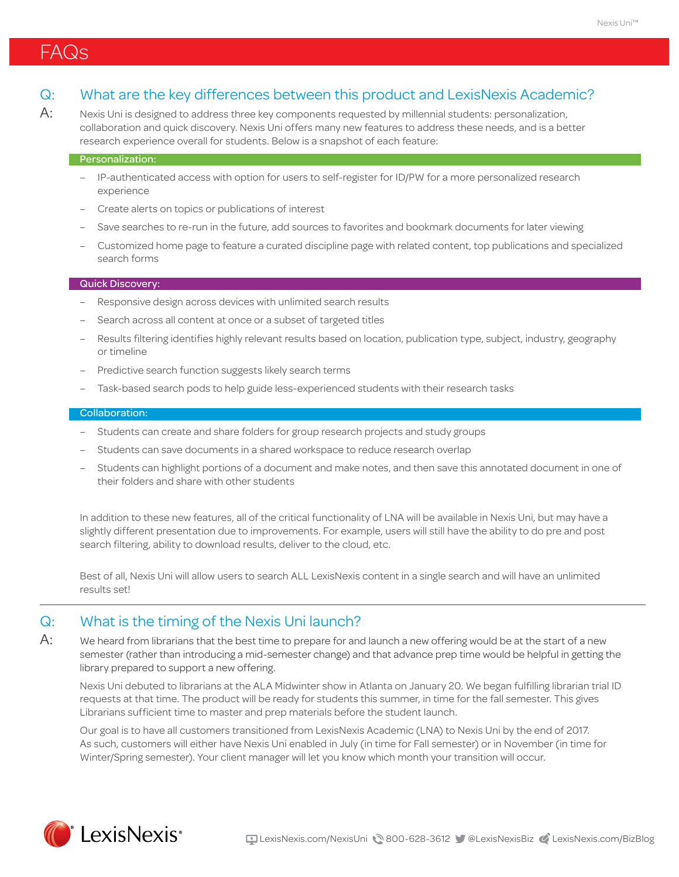#### Q: What are the key differences between this product and LexisNexis Academic?

 $A$ : Nexis Uni is designed to address three key components requested by millennial students: personalization, collaboration and quick discovery. Nexis Uni offers many new features to address these needs, and is a better research experience overall for students. Below is a snapshot of each feature:

#### Personalization:

- IP-authenticated access with option for users to self-register for ID/PW for a more personalized research experience
- Create alerts on topics or publications of interest
- Save searches to re-run in the future, add sources to favorites and bookmark documents for later viewing
- Customized home page to feature a curated discipline page with related content, top publications and specialized search forms

#### Quick Discovery:

- Responsive design across devices with unlimited search results
- Search across all content at once or a subset of targeted titles
- Results filtering identifies highly relevant results based on location, publication type, subject, industry, geography or timeline
- Predictive search function suggests likely search terms
- Task-based search pods to help guide less-experienced students with their research tasks

#### Collaboration:

- Students can create and share folders for group research projects and study groups
- Students can save documents in a shared workspace to reduce research overlap
- Students can highlight portions of a document and make notes, and then save this annotated document in one of their folders and share with other students

In addition to these new features, all of the critical functionality of LNA will be available in Nexis Uni, but may have a slightly different presentation due to improvements. For example, users will still have the ability to do pre and post search filtering, ability to download results, deliver to the cloud, etc.

Best of all, Nexis Uni will allow users to search ALL LexisNexis content in a single search and will have an unlimited results set!

#### Q: What is the timing of the Nexis Uni launch?

 $\mathsf{A}\mathpunct{:}$  We heard from librarians that the best time to prepare for and launch a new offering would be at the start of a new semester (rather than introducing a mid-semester change) and that advance prep time would be helpful in getting the library prepared to support a new offering.

 Nexis Uni debuted to librarians at the ALA Midwinter show in Atlanta on January 20. We began fulfilling librarian trial ID requests at that time. The product will be ready for students this summer, in time for the fall semester. This gives Librarians sufficient time to master and prep materials before the student launch.

 Our goal is to have all customers transitioned from LexisNexis Academic (LNA) to Nexis Uni by the end of 2017. As such, customers will either have Nexis Uni enabled in July (in time for Fall semester) or in November (in time for Winter/Spring semester). Your client manager will let you know which month your transition will occur.

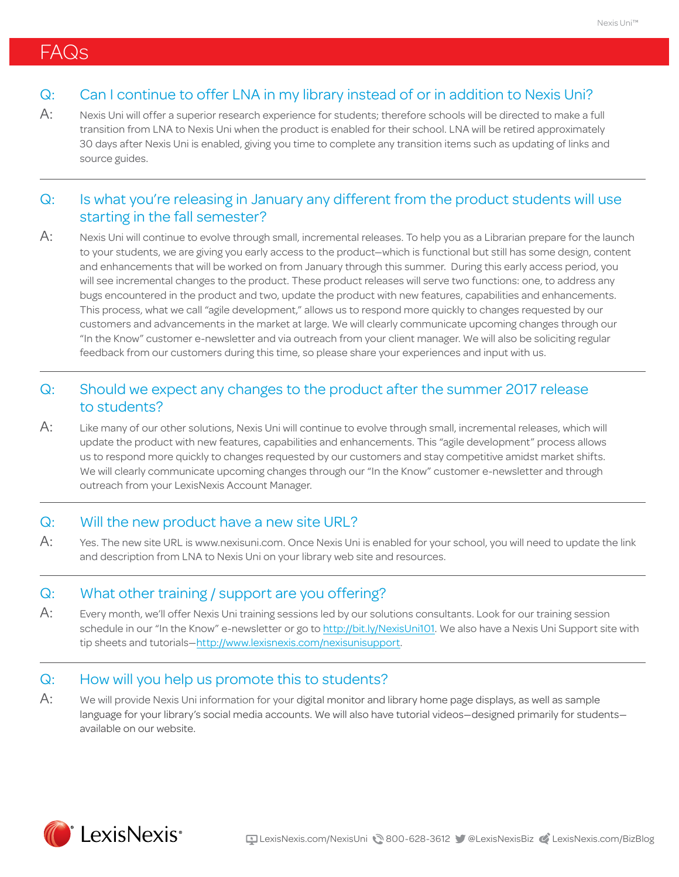## FAQs

### Q: Can I continue to offer LNA in my library instead of or in addition to Nexis Uni?

A: Nexis Uni will offer a superior research experience for students; therefore schools will be directed to make a full transition from LNA to Nexis Uni when the product is enabled for their school. LNA will be retired approximately 30 days after Nexis Uni is enabled, giving you time to complete any transition items such as updating of links and source guides.

### Q: Is what you're releasing in January any different from the product students will use starting in the fall semester?

A: Nexis Uni will continue to evolve through small, incremental releases. To help you as a Librarian prepare for the launch to your students, we are giving you early access to the product—which is functional but still has some design, content and enhancements that will be worked on from January through this summer. During this early access period, you will see incremental changes to the product. These product releases will serve two functions: one, to address any bugs encountered in the product and two, update the product with new features, capabilities and enhancements. This process, what we call "agile development," allows us to respond more quickly to changes requested by our customers and advancements in the market at large. We will clearly communicate upcoming changes through our "In the Know" customer e-newsletter and via outreach from your client manager. We will also be soliciting regular feedback from our customers during this time, so please share your experiences and input with us.

### Q: Should we expect any changes to the product after the summer 2017 release to students?

A: Like many of our other solutions, Nexis Uni will continue to evolve through small, incremental releases, which will update the product with new features, capabilities and enhancements. This "agile development" process allows us to respond more quickly to changes requested by our customers and stay competitive amidst market shifts. We will clearly communicate upcoming changes through our "In the Know" customer e-newsletter and through outreach from your LexisNexis Account Manager.

#### Q: Will the new product have a new site URL?

A: Yes. The new site URL is [www.nexisuni.com](http://www.nexisuni.com). Once Nexis Uni is enabled for your school, you will need to update the link and description from LNA to Nexis Uni on your library web site and resources.

#### Q: What other training / support are you offering?

A: Every month, we'll offer Nexis Uni training sessions led by our solutions consultants. Look for our training session schedule in our "In the Know" e-newsletter or go to http://bit.ly/NexisUni101. We also have a Nexis Uni Support site with tip sheets and tutorials—http://www.lexisnexis.com/nexisunisupport.

### Q: How will you help us promote this to students?

A: We will provide Nexis Uni information for your digital monitor and library home page displays, as well as sample language for your library's social media accounts. We will also have tutorial videos—designed primarily for students available on our website.

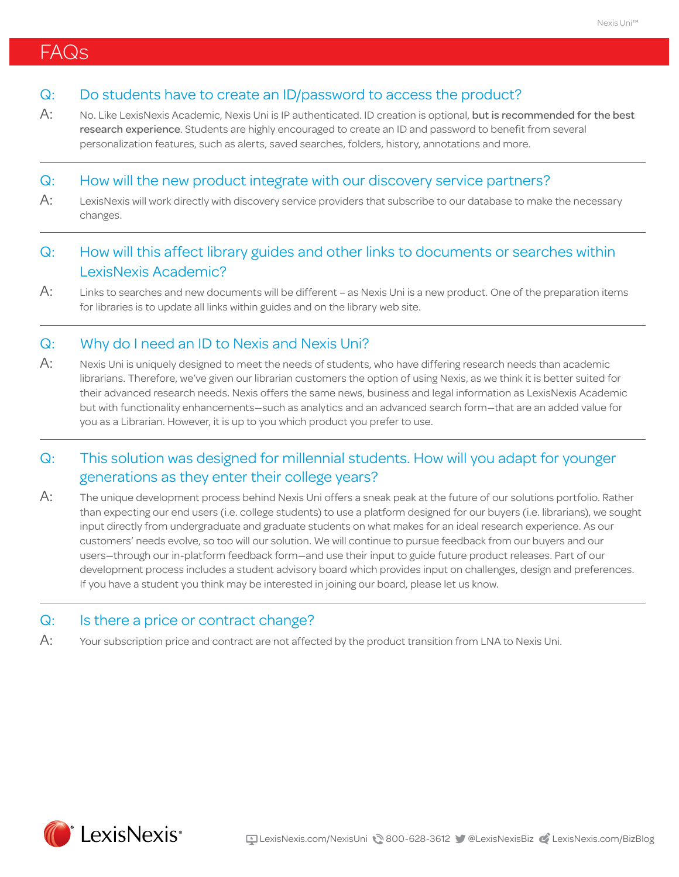# FAQs

#### Q: Do students have to create an ID/password to access the product?

A: No. Like LexisNexis Academic, Nexis Uni is IP authenticated. ID creation is optional, but is recommended for the best research experience. Students are highly encouraged to create an ID and password to benefit from several personalization features, such as alerts, saved searches, folders, history, annotations and more.

#### Q: How will the new product integrate with our discovery service partners?

A: LexisNexis will work directly with discovery service providers that subscribe to our database to make the necessary changes.

## Q: How will this affect library guides and other links to documents or searches within LexisNexis Academic?

A: Links to searches and new documents will be different - as Nexis Uni is a new product. One of the preparation items for libraries is to update all links within guides and on the library web site.

#### Q: Why do I need an ID to Nexis and Nexis Uni?

 $\mathsf{A}\mathpunct{:}$  Nexis Uni is uniquely designed to meet the needs of students, who have differing research needs than academic librarians. Therefore, we've given our librarian customers the option of using Nexis, as we think it is better suited for their advanced research needs. Nexis offers the same news, business and legal information as LexisNexis Academic but with functionality enhancements—such as analytics and an advanced search form—that are an added value for you as a Librarian. However, it is up to you which product you prefer to use.

### Q: This solution was designed for millennial students. How will you adapt for younger generations as they enter their college years?

A: The unique development process behind Nexis Uni offers a sneak peak at the future of our solutions portfolio. Rather than expecting our end users (i.e. college students) to use a platform designed for our buyers (i.e. librarians), we sought input directly from undergraduate and graduate students on what makes for an ideal research experience. As our customers' needs evolve, so too will our solution. We will continue to pursue feedback from our buyers and our users—through our in-platform feedback form—and use their input to guide future product releases. Part of our development process includes a student advisory board which provides input on challenges, design and preferences. If you have a student you think may be interested in joining our board, please let us know.

#### Q: Is there a price or contract change?

 $\mathsf{A}\text{:}$  Your subscription price and contract are not affected by the product transition from LNA to Nexis Uni.